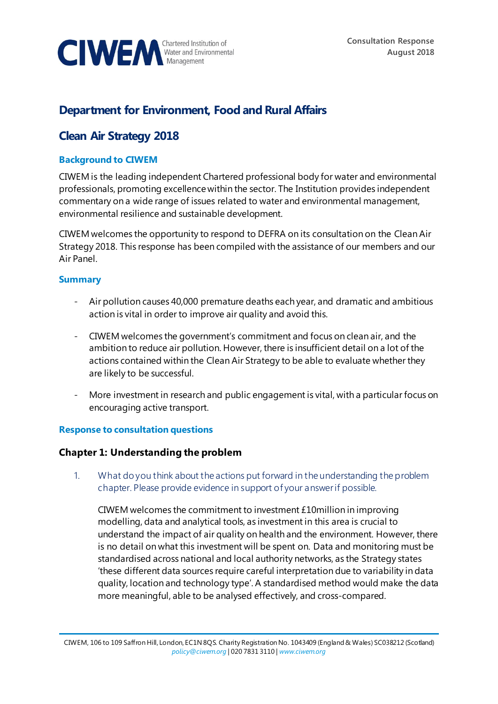

# **Department for Environment, Food and Rural Affairs**

# **Clean Air Strategy 2018**

### **Background to CIWEM**

CIWEM is the leading independent Chartered professional body for water and environmental professionals, promoting excellence within the sector. The Institution provides independent commentary on a wide range of issues related to water and environmental management, environmental resilience and sustainable development.

CIWEM welcomes the opportunity to respond to DEFRA on its consultation on the Clean Air Strategy 2018. This response has been compiled with the assistance of our members and our Air Panel.

#### **Summary**

- Air pollution causes 40,000 premature deaths each year, and dramatic and ambitious action is vital in order to improve air quality and avoid this.
- CIWEM welcomes the government's commitment and focus on clean air, and the ambition to reduce air pollution. However, there is insufficient detail on a lot of the actions contained within the Clean Air Strategy to be able to evaluate whether they are likely to be successful.
- More investment in research and public engagement is vital, with a particular focus on encouraging active transport.

#### **Response to consultation questions**

### **Chapter 1: Understanding the problem**

1. What do you think about the actions put forward in the understanding the problem chapter. Please provide evidence in support of your answer if possible.

CIWEM welcomes the commitment to investment £10million in improving modelling, data and analytical tools, as investment in this area is crucial to understand the impact of air quality on health and the environment. However, there is no detail on what this investment will be spent on. Data and monitoring must be standardised across national and local authority networks, as the Strategy states 'these different data sources require careful interpretation due to variability in data quality, location and technology type'. A standardised method would make the data more meaningful, able to be analysed effectively, and cross-compared.

CIWEM, 106 to 109 Saffron Hill, London, EC1N 8QS. Charity Registration No. 1043409 (England & Wales) SC038212 (Scotland) *[policy@ciwem.org](mailto:policy@ciwem.org)* | 020 7831 3110 | *[www.ciwem.org](http://www.ciwem.org/)*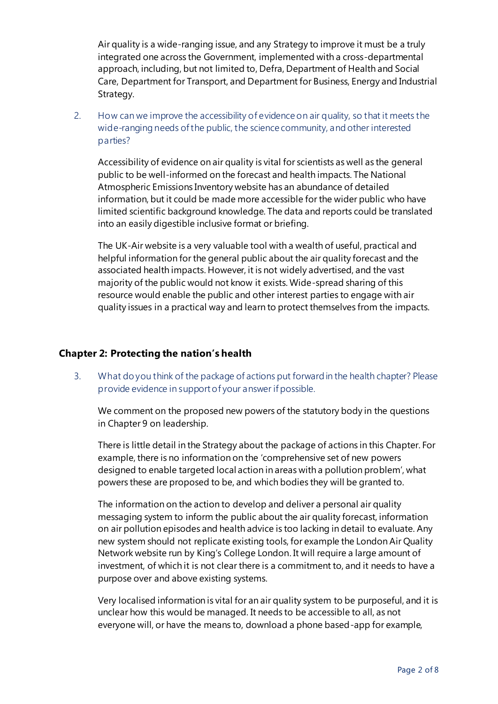Air quality is a wide-ranging issue, and any Strategy to improve it must be a truly integrated one across the Government, implemented with a cross-departmental approach, including, but not limited to, Defra, Department of Health and Social Care, Department for Transport, and Department for Business, Energy and Industrial Strategy.

2. How can we improve the accessibility of evidence on air quality, so that it meets the wide-ranging needs of the public, the science community, and other interested parties?

Accessibility of evidence on air quality is vital for scientists as well as the general public to be well-informed on the forecast and health impacts. The National Atmospheric Emissions Inventory website has an abundance of detailed information, but it could be made more accessible for the wider public who have limited scientific background knowledge. The data and reports could be translated into an easily digestible inclusive format or briefing.

The UK-Air website is a very valuable tool with a wealth of useful, practical and helpful information for the general public about the air quality forecast and the associated health impacts. However, it is not widely advertised, and the vast majority of the public would not know it exists. Wide-spread sharing of this resource would enable the public and other interest parties to engage with air quality issues in a practical way and learn to protect themselves from the impacts.

### **Chapter 2: Protecting the nation's health**

3. What do you think of the package of actions put forward in the health chapter? Please provide evidence in support of your answer if possible.

We comment on the proposed new powers of the statutory body in the questions in Chapter 9 on leadership.

There is little detail in the Strategy about the package of actions in this Chapter. For example, there is no information on the 'comprehensive set of new powers designed to enable targeted local action in areas with a pollution problem', what powers these are proposed to be, and which bodies they will be granted to.

The information on the action to develop and deliver a personal air quality messaging system to inform the public about the air quality forecast, information on air pollution episodes and health advice is too lacking in detail to evaluate. Any new system should not replicate existing tools, for example the London Air Quality Network website run by King's College London. It will require a large amount of investment, of which it is not clear there is a commitment to, and it needs to have a purpose over and above existing systems.

Very localised information is vital for an air quality system to be purposeful, and it is unclear how this would be managed. It needs to be accessible to all, as not everyone will, or have the means to, download a phone based-app for example,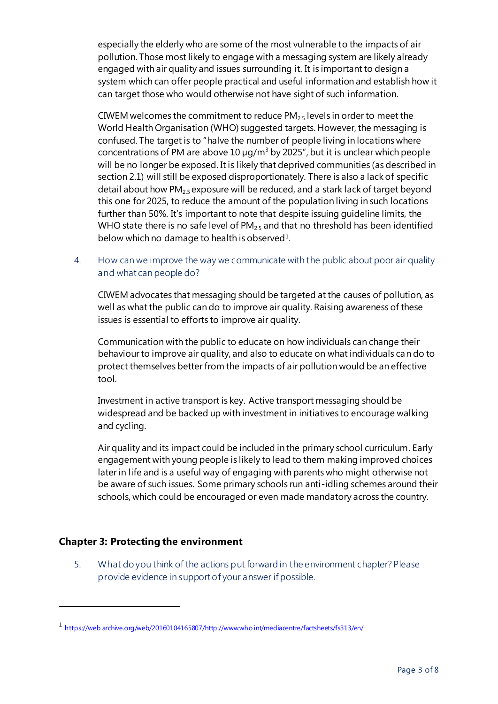especially the elderly who are some of the most vulnerable to the impacts of air pollution. Those most likely to engage with a messaging system are likely already engaged with air quality and issues surrounding it. It is important to design a system which can offer people practical and useful information and establish how it can target those who would otherwise not have sight of such information.

CIWEM welcomes the commitment to reduce  $PM_{25}$  levels in order to meet the World Health Organisation (WHO) suggested targets. However, the messaging is confused. The target is to "halve the number of people living in locations where concentrations of PM are above  $10 \mu q/m^3$  by 2025", but it is unclear which people will be no longer be exposed. It is likely that deprived communities (as described in section 2.1) will still be exposed disproportionately. There is also a lack of specific detail about how PM<sub>2.5</sub> exposure will be reduced, and a stark lack of target beyond this one for 2025, to reduce the amount of the population living in such locations further than 50%. It's important to note that despite issuing guideline limits, the WHO state there is no safe level of  $PM<sub>25</sub>$  and that no threshold has been identified below which no damage to health is observed<sup>1</sup>.

4. How can we improve the way we communicate with the public about poor air quality and what can people do?

CIWEM advocates that messaging should be targeted at the causes of pollution, as well as what the public can do to improve air quality. Raising awareness of these issues is essential to efforts to improve air quality.

Communication with the public to educate on how individuals can change their behaviour to improve air quality, and also to educate on what individuals can do to protect themselves better from the impacts of air pollution would be an effective tool.

Investment in active transport is key. Active transport messaging should be widespread and be backed up with investment in initiatives to encourage walking and cycling.

Air quality and its impact could be included in the primary school curriculum. Early engagement with young people is likely to lead to them making improved choices later in life and is a useful way of engaging with parents who might otherwise not be aware of such issues. Some primary schools run anti-idling schemes around their schools, which could be encouraged or even made mandatory across the country.

## **Chapter 3: Protecting the environment**

l

5. What do you think of the actions put forward in the environment chapter? Please provide evidence in support of your answer if possible.

<sup>1</sup> [https://web.archive.org/web/20160104165807/http://www.who.int/mediacentre/factsheets/fs313/en/](https://web.archive.org/web/20160104165807/http:/www.who.int/mediacentre/factsheets/fs313/en/)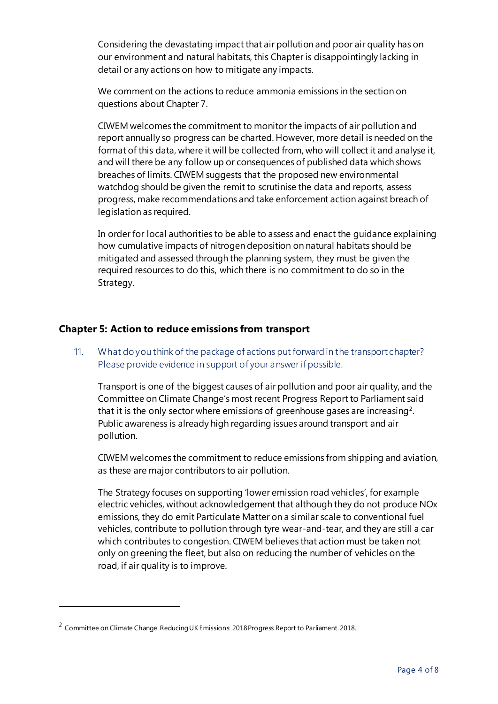Considering the devastating impact that air pollution and poor air quality has on our environment and natural habitats, this Chapter is disappointingly lacking in detail or any actions on how to mitigate any impacts.

We comment on the actions to reduce ammonia emissions in the section on questions about Chapter 7.

CIWEM welcomes the commitment to monitor the impacts of air pollution and report annually so progress can be charted. However, more detail is needed on the format of this data, where it will be collected from, who will collect it and analyse it, and will there be any follow up or consequences of published data which shows breaches of limits. CIWEM suggests that the proposed new environmental watchdog should be given the remit to scrutinise the data and reports, assess progress, make recommendations and take enforcement action against breach of legislation as required.

In order for local authorities to be able to assess and enact the guidance explaining how cumulative impacts of nitrogen deposition on natural habitats should be mitigated and assessed through the planning system, they must be given the required resources to do this, which there is no commitment to do so in the Strategy.

#### **Chapter 5: Action to reduce emissions from transport**

## 11. What do you think of the package of actions put forward in the transport chapter? Please provide evidence in support of your answer if possible.

Transport is one of the biggest causes of air pollution and poor air quality, and the Committee on Climate Change's most recent Progress Report to Parliament said that it is the only sector where emissions of greenhouse gases are increasing<sup>2</sup>. Public awareness is already high regarding issues around transport and air pollution.

CIWEM welcomes the commitment to reduce emissions from shipping and aviation, as these are major contributors to air pollution.

The Strategy focuses on supporting 'lower emission road vehicles', for example electric vehicles, without acknowledgement that although they do not produce NOx emissions, they do emit Particulate Matter on a similar scale to conventional fuel vehicles, contribute to pollution through tyre wear-and-tear, and they are still a car which contributes to congestion. CIWEM believes that action must be taken not only on greening the fleet, but also on reducing the number of vehicles on the road, if air quality is to improve.

l

 $^2$  Committee on Climate Change. Reducing UK Emissions: 2018 Progress Report to Parliament. 2018.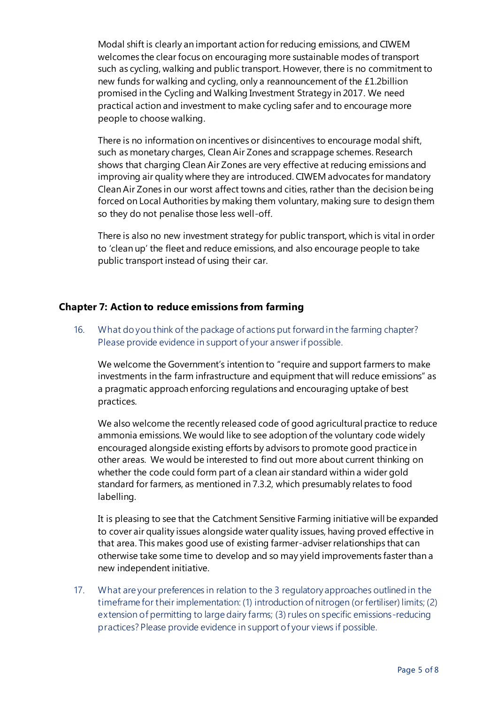Modal shift is clearly an important action for reducing emissions, and CIWEM welcomes the clear focus on encouraging more sustainable modes of transport such as cycling, walking and public transport. However, there is no commitment to new funds for walking and cycling, only a reannouncement of the £1.2billion promised in the Cycling and Walking Investment Strategy in 2017. We need practical action and investment to make cycling safer and to encourage more people to choose walking.

There is no information on incentives or disincentives to encourage modal shift, such as monetary charges, Clean Air Zones and scrappage schemes. Research shows that charging Clean Air Zones are very effective at reducing emissions and improving air quality where they are introduced. CIWEM advocates for mandatory Clean Air Zones in our worst affect towns and cities, rather than the decision being forced on Local Authorities by making them voluntary, making sure to design them so they do not penalise those less well-off.

There is also no new investment strategy for public transport, which is vital in order to 'clean up' the fleet and reduce emissions, and also encourage people to take public transport instead of using their car.

### **Chapter 7: Action to reduce emissions from farming**

16. What do you think of the package of actions put forward in the farming chapter? Please provide evidence in support of your answer if possible.

We welcome the Government's intention to "require and support farmers to make investments in the farm infrastructure and equipment that will reduce emissions" as a pragmatic approach enforcing regulations and encouraging uptake of best practices.

We also welcome the recently released code of good agricultural practice to reduce ammonia emissions. We would like to see adoption of the voluntary code widely encouraged alongside existing efforts by advisors to promote good practice in other areas. We would be interested to find out more about current thinking on whether the code could form part of a clean air standard within a wider gold standard for farmers, as mentioned in 7.3.2, which presumably relates to food labelling.

It is pleasing to see that the Catchment Sensitive Farming initiative will be expanded to cover air quality issues alongside water quality issues, having proved effective in that area. This makes good use of existing farmer-adviser relationships that can otherwise take some time to develop and so may yield improvements faster than a new independent initiative.

17. What are your preferences in relation to the 3 regulatory approaches outlined in the timeframe for their implementation: (1) introduction of nitrogen (or fertiliser) limits; (2) extension of permitting to large dairy farms; (3) rules on specific emissions-reducing practices? Please provide evidence in support of your views if possible.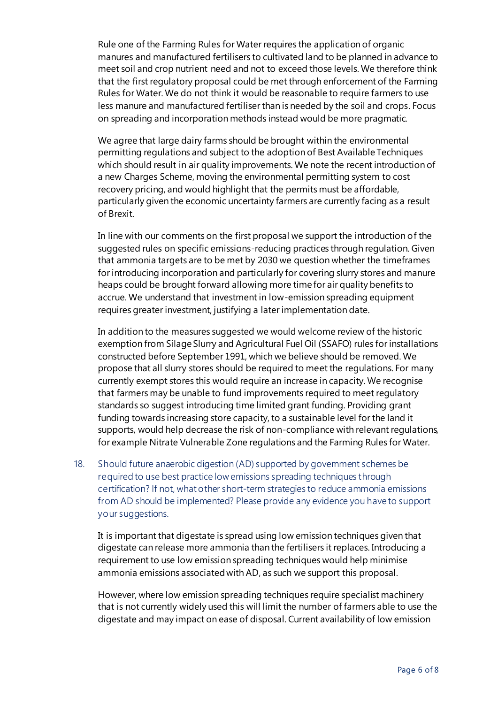Rule one of the Farming Rules for Water requires the application of organic manures and manufactured fertilisers to cultivated land to be planned in advance to meet soil and crop nutrient need and not to exceed those levels. We therefore think that the first regulatory proposal could be met through enforcement of the Farming Rules for Water. We do not think it would be reasonable to require farmers to use less manure and manufactured fertiliser than is needed by the soil and crops. Focus on spreading and incorporation methods instead would be more pragmatic.

We agree that large dairy farms should be brought within the environmental permitting regulations and subject to the adoption of Best Available Techniques which should result in air quality improvements. We note the recent introduction of a new Charges Scheme, moving the environmental permitting system to cost recovery pricing, and would highlight that the permits must be affordable, particularly given the economic uncertainty farmers are currently facing as a result of Brexit.

In line with our comments on the first proposal we support the introduction of the suggested rules on specific emissions-reducing practices through regulation. Given that ammonia targets are to be met by 2030 we question whether the timeframes for introducing incorporation and particularly for covering slurry stores and manure heaps could be brought forward allowing more time for air quality benefits to accrue. We understand that investment in low-emission spreading equipment requires greater investment, justifying a later implementation date.

In addition to the measures suggested we would welcome review of the historic exemption from Silage Slurry and Agricultural Fuel Oil (SSAFO) rules for installations constructed before September 1991, which we believe should be removed. We propose that all slurry stores should be required to meet the regulations. For many currently exempt stores this would require an increase in capacity. We recognise that farmers may be unable to fund improvements required to meet regulatory standards so suggest introducing time limited grant funding. Providing grant funding towards increasing store capacity, to a sustainable level for the land it supports, would help decrease the risk of non-compliance with relevant regulations, for example Nitrate Vulnerable Zone regulations and the Farming Rules for Water.

18. Should future anaerobic digestion (AD) supported by government schemes be required to use best practice low emissions spreading techniques through certification? If not, what other short-term strategies to reduce ammonia emissions from AD should be implemented? Please provide any evidence you have to support your suggestions.

It is important that digestate is spread using low emission techniques given that digestate can release more ammonia than the fertilisers it replaces. Introducing a requirement to use low emission spreading techniques would help minimise ammonia emissions associated with AD, as such we support this proposal.

However, where low emission spreading techniques require specialist machinery that is not currently widely used this will limit the number of farmers able to use the digestate and may impact on ease of disposal. Current availability of low emission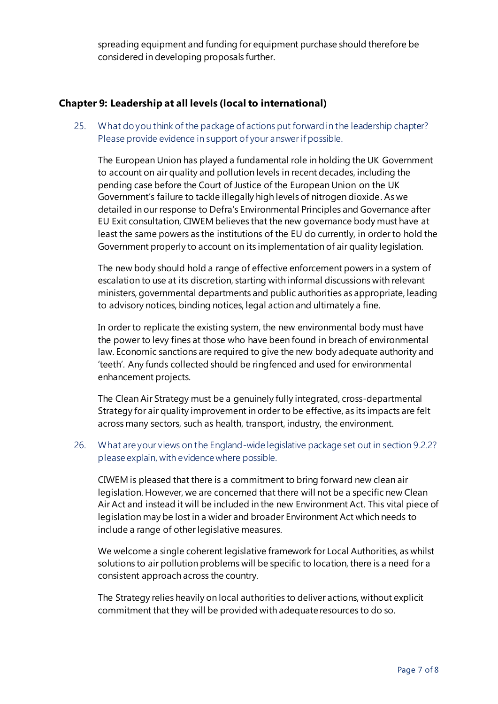spreading equipment and funding for equipment purchase should therefore be considered in developing proposals further.

## **Chapter 9: Leadership at all levels (local to international)**

25. What do you think of the package of actions put forward in the leadership chapter? Please provide evidence in support of your answer if possible.

The European Union has played a fundamental role in holding the UK Government to account on air quality and pollution levels in recent decades, including the pending case before the Court of Justice of the European Union on the UK Government's failure to tackle illegally high levels of nitrogen dioxide. As we detailed in our response to Defra's Environmental Principles and Governance after EU Exit consultation, CIWEM believes that the new governance body must have at least the same powers as the institutions of the EU do currently, in order to hold the Government properly to account on its implementation of air quality legislation.

The new body should hold a range of effective enforcement powers in a system of escalation to use at its discretion, starting with informal discussions with relevant ministers, governmental departments and public authorities as appropriate, leading to advisory notices, binding notices, legal action and ultimately a fine.

In order to replicate the existing system, the new environmental body must have the power to levy fines at those who have been found in breach of environmental law. Economic sanctions are required to give the new body adequate authority and 'teeth'. Any funds collected should be ringfenced and used for environmental enhancement projects.

The Clean Air Strategy must be a genuinely fully integrated, cross-departmental Strategy for air quality improvement in order to be effective, as its impacts are felt across many sectors, such as health, transport, industry, the environment.

26. What are your views on the England-wide legislative package set out in section 9.2.2? please explain, with evidence where possible.

CIWEM is pleased that there is a commitment to bring forward new clean air legislation. However, we are concerned that there will not be a specific new Clean Air Act and instead it will be included in the new Environment Act. This vital piece of legislation may be lost in a wider and broader Environment Act which needs to include a range of other legislative measures.

We welcome a single coherent legislative framework for Local Authorities, as whilst solutions to air pollution problems will be specific to location, there is a need for a consistent approach across the country.

The Strategy relies heavily on local authorities to deliver actions, without explicit commitment that they will be provided with adequate resources to do so.